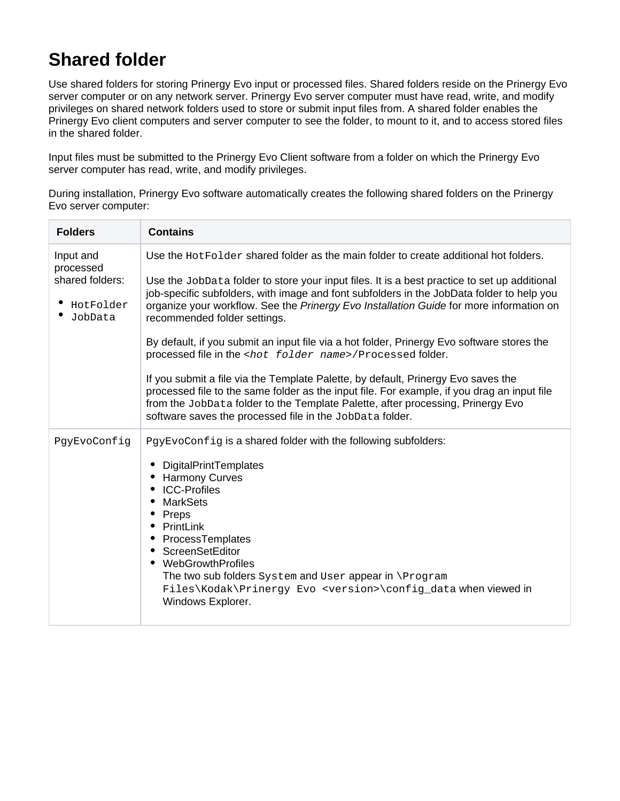## **Shared folder**

Use shared folders for storing Prinergy Evo input or processed files. Shared folders reside on the Prinergy Evo server computer or on any network server. Prinergy Evo server computer must have read, write, and modify privileges on shared network folders used to store or submit input files from. A shared folder enables the Prinergy Evo client computers and server computer to see the folder, to mount to it, and to access stored files in the shared folder.

Input files must be submitted to the Prinergy Evo Client software from a folder on which the Prinergy Evo server computer has read, write, and modify privileges.

During installation, Prinergy Evo software automatically creates the following shared folders on the Prinergy Evo server computer:

| <b>Folders</b>                                                    | <b>Contains</b>                                                                                                                                                                                                                                                                                                                                                                                                                                                                                                                                                                                                                                                                                                                                                                                                                                                                                                             |
|-------------------------------------------------------------------|-----------------------------------------------------------------------------------------------------------------------------------------------------------------------------------------------------------------------------------------------------------------------------------------------------------------------------------------------------------------------------------------------------------------------------------------------------------------------------------------------------------------------------------------------------------------------------------------------------------------------------------------------------------------------------------------------------------------------------------------------------------------------------------------------------------------------------------------------------------------------------------------------------------------------------|
| Input and<br>processed<br>shared folders:<br>HotFolder<br>JobData | Use the Hot Folder shared folder as the main folder to create additional hot folders.<br>Use the JobData folder to store your input files. It is a best practice to set up additional<br>job-specific subfolders, with image and font subfolders in the JobData folder to help you<br>organize your workflow. See the Prinergy Evo Installation Guide for more information on<br>recommended folder settings.<br>By default, if you submit an input file via a hot folder, Prinergy Evo software stores the<br>processed file in the <hot folder="" name="">/Processed folder.<br/>If you submit a file via the Template Palette, by default, Prinergy Evo saves the<br/>processed file to the same folder as the input file. For example, if you drag an input file<br/>from the JobData folder to the Template Palette, after processing, Prinergy Evo<br/>software saves the processed file in the JobData folder.</hot> |
| PgyEvoConfig                                                      | PgyEvoConfig is a shared folder with the following subfolders:<br>DigitalPrintTemplates<br><b>Harmony Curves</b><br><b>ICC-Profiles</b><br><b>MarkSets</b><br>Preps<br>PrintLink<br>ProcessTemplates<br>• ScreenSetEditor<br>WebGrowthProfiles<br>The two sub folders System and User appear in \Program<br>Files\Kodak\Prinergy Evo <version>\config_data when viewed in<br/>Windows Explorer.</version>                                                                                                                                                                                                                                                                                                                                                                                                                                                                                                                   |